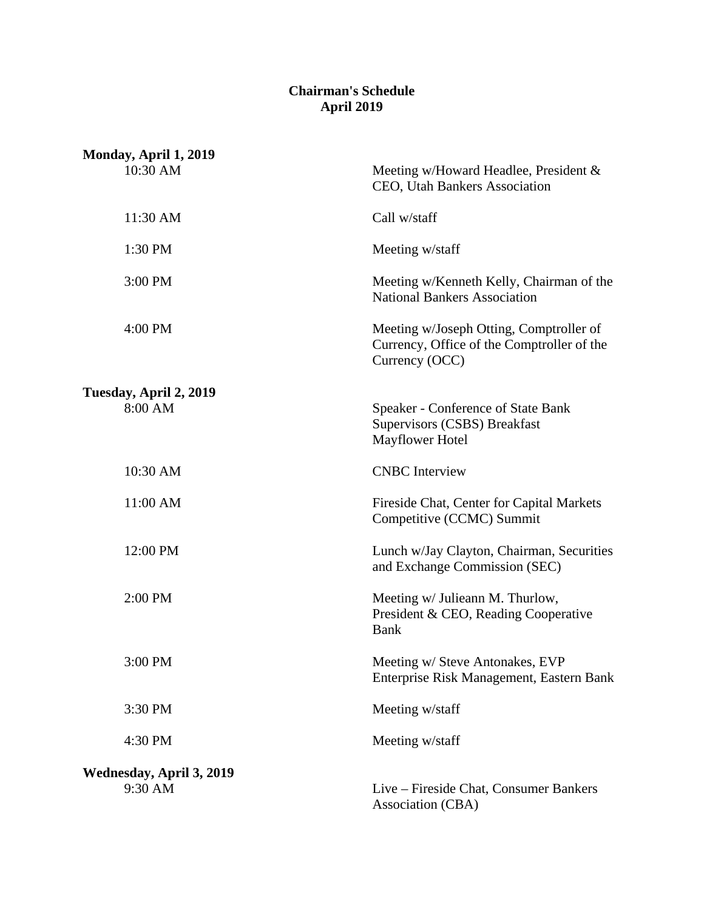## **Chairman's Schedule April 2019**

| Monday, April 1, 2019               |                                                                                                         |
|-------------------------------------|---------------------------------------------------------------------------------------------------------|
| 10:30 AM                            | Meeting w/Howard Headlee, President &<br>CEO, Utah Bankers Association                                  |
| 11:30 AM                            | Call w/staff                                                                                            |
| 1:30 PM                             | Meeting w/staff                                                                                         |
| 3:00 PM                             | Meeting w/Kenneth Kelly, Chairman of the<br><b>National Bankers Association</b>                         |
| 4:00 PM                             | Meeting w/Joseph Otting, Comptroller of<br>Currency, Office of the Comptroller of the<br>Currency (OCC) |
| Tuesday, April 2, 2019              |                                                                                                         |
| 8:00 AM                             | <b>Speaker - Conference of State Bank</b><br>Supervisors (CSBS) Breakfast<br>Mayflower Hotel            |
| 10:30 AM                            | <b>CNBC</b> Interview                                                                                   |
| 11:00 AM                            | Fireside Chat, Center for Capital Markets<br>Competitive (CCMC) Summit                                  |
| 12:00 PM                            | Lunch w/Jay Clayton, Chairman, Securities<br>and Exchange Commission (SEC)                              |
| 2:00 PM                             | Meeting w/ Julieann M. Thurlow,<br>President & CEO, Reading Cooperative<br><b>Bank</b>                  |
| 3:00 PM                             | Meeting w/ Steve Antonakes, EVP<br>Enterprise Risk Management, Eastern Bank                             |
| 3:30 PM                             | Meeting w/staff                                                                                         |
| 4:30 PM                             | Meeting w/staff                                                                                         |
| Wednesday, April 3, 2019<br>9:30 AM | Live – Fireside Chat, Consumer Bankers<br>Association (CBA)                                             |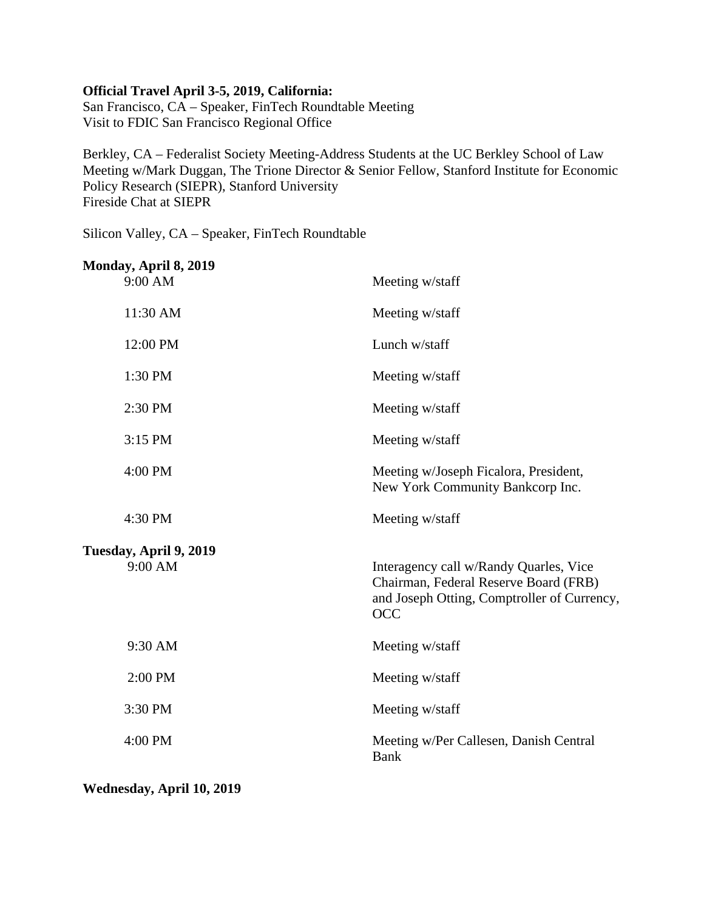## **Official Travel April 3-5, 2019, California:**

San Francisco, CA – Speaker, FinTech Roundtable Meeting Visit to FDIC San Francisco Regional Office

Berkley, CA – Federalist Society Meeting-Address Students at the UC Berkley School of Law Meeting w/Mark Duggan, The Trione Director & Senior Fellow, Stanford Institute for Economic Policy Research (SIEPR), Stanford University Fireside Chat at SIEPR

Silicon Valley, CA – Speaker, FinTech Roundtable

| Monday, April 8, 2019<br>9:00 AM  | Meeting w/staff                                                                                                                       |
|-----------------------------------|---------------------------------------------------------------------------------------------------------------------------------------|
| 11:30 AM                          | Meeting w/staff                                                                                                                       |
| 12:00 PM                          | Lunch w/staff                                                                                                                         |
| 1:30 PM                           | Meeting w/staff                                                                                                                       |
| 2:30 PM                           | Meeting w/staff                                                                                                                       |
| 3:15 PM                           | Meeting w/staff                                                                                                                       |
| 4:00 PM                           | Meeting w/Joseph Ficalora, President,<br>New York Community Bankcorp Inc.                                                             |
| 4:30 PM                           | Meeting w/staff                                                                                                                       |
| Tuesday, April 9, 2019<br>9:00 AM | Interagency call w/Randy Quarles, Vice<br>Chairman, Federal Reserve Board (FRB)<br>and Joseph Otting, Comptroller of Currency,<br>OCC |
| 9:30 AM                           | Meeting w/staff                                                                                                                       |
| 2:00 PM                           | Meeting w/staff                                                                                                                       |
| 3:30 PM                           | Meeting w/staff                                                                                                                       |
| 4:00 PM                           | Meeting w/Per Callesen, Danish Central<br><b>Bank</b>                                                                                 |
|                                   |                                                                                                                                       |

**Wednesday, April 10, 2019**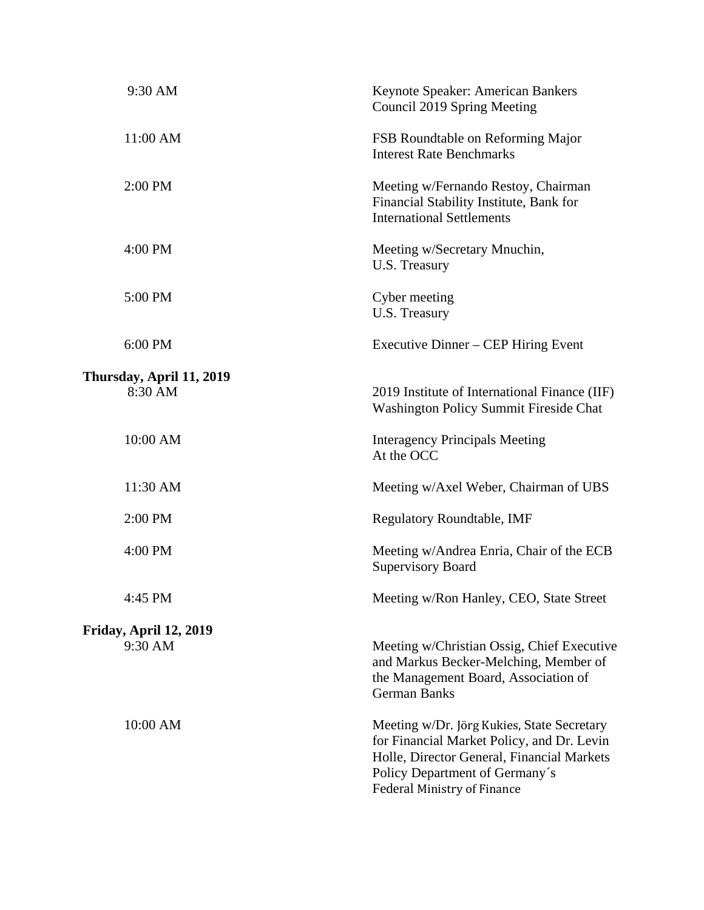| 9:30 AM                  | Keynote Speaker: American Bankers<br>Council 2019 Spring Meeting                                                                                                                                        |
|--------------------------|---------------------------------------------------------------------------------------------------------------------------------------------------------------------------------------------------------|
| 11:00 AM                 | FSB Roundtable on Reforming Major<br><b>Interest Rate Benchmarks</b>                                                                                                                                    |
| 2:00 PM                  | Meeting w/Fernando Restoy, Chairman<br>Financial Stability Institute, Bank for<br><b>International Settlements</b>                                                                                      |
| 4:00 PM                  | Meeting w/Secretary Mnuchin,<br>U.S. Treasury                                                                                                                                                           |
| 5:00 PM                  | Cyber meeting<br>U.S. Treasury                                                                                                                                                                          |
| 6:00 PM                  | Executive Dinner – CEP Hiring Event                                                                                                                                                                     |
| Thursday, April 11, 2019 |                                                                                                                                                                                                         |
| 8:30 AM                  | 2019 Institute of International Finance (IIF)<br><b>Washington Policy Summit Fireside Chat</b>                                                                                                          |
| 10:00 AM                 | <b>Interagency Principals Meeting</b><br>At the OCC                                                                                                                                                     |
| 11:30 AM                 | Meeting w/Axel Weber, Chairman of UBS                                                                                                                                                                   |
| 2:00 PM                  | <b>Regulatory Roundtable, IMF</b>                                                                                                                                                                       |
| 4:00 PM                  | Meeting w/Andrea Enria, Chair of the ECB<br><b>Supervisory Board</b>                                                                                                                                    |
| 4:45 PM                  | Meeting w/Ron Hanley, CEO, State Street                                                                                                                                                                 |
| Friday, April 12, 2019   |                                                                                                                                                                                                         |
| 9:30 AM                  | Meeting w/Christian Ossig, Chief Executive<br>and Markus Becker-Melching, Member of<br>the Management Board, Association of<br><b>German Banks</b>                                                      |
| 10:00 AM                 | Meeting w/Dr. Jörg Kukies, State Secretary<br>for Financial Market Policy, and Dr. Levin<br>Holle, Director General, Financial Markets<br>Policy Department of Germany's<br>Federal Ministry of Finance |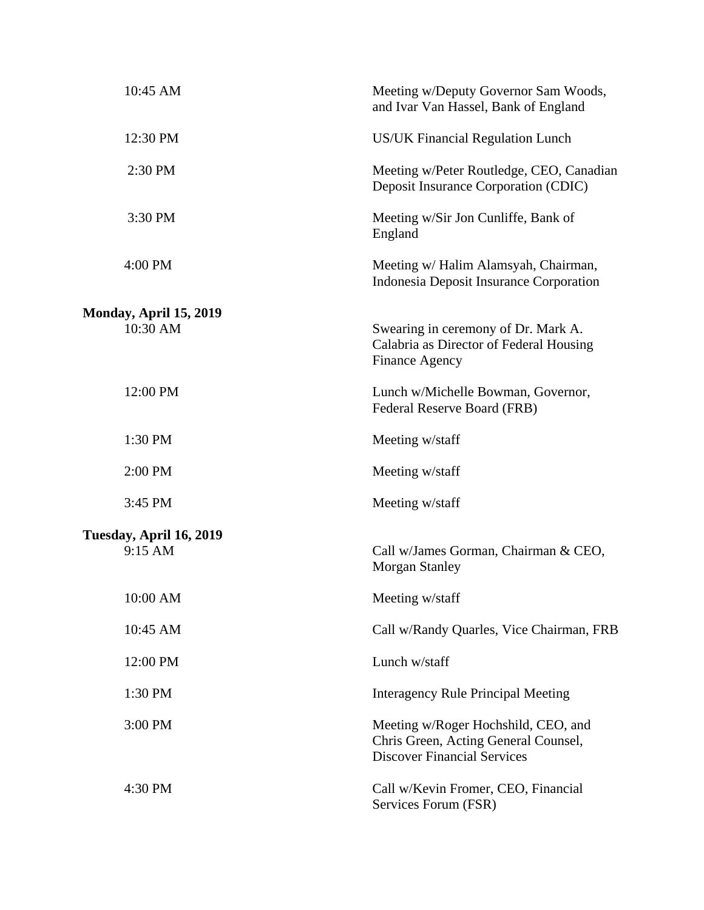| 10:45 AM                | Meeting w/Deputy Governor Sam Woods,<br>and Ivar Van Hassel, Bank of England                                      |
|-------------------------|-------------------------------------------------------------------------------------------------------------------|
| 12:30 PM                | <b>US/UK Financial Regulation Lunch</b>                                                                           |
| 2:30 PM                 | Meeting w/Peter Routledge, CEO, Canadian<br>Deposit Insurance Corporation (CDIC)                                  |
| 3:30 PM                 | Meeting w/Sir Jon Cunliffe, Bank of<br>England                                                                    |
| 4:00 PM                 | Meeting w/ Halim Alamsyah, Chairman,<br>Indonesia Deposit Insurance Corporation                                   |
| Monday, April 15, 2019  |                                                                                                                   |
| 10:30 AM                | Swearing in ceremony of Dr. Mark A.<br>Calabria as Director of Federal Housing<br><b>Finance Agency</b>           |
| 12:00 PM                | Lunch w/Michelle Bowman, Governor,<br>Federal Reserve Board (FRB)                                                 |
| 1:30 PM                 | Meeting w/staff                                                                                                   |
| 2:00 PM                 | Meeting w/staff                                                                                                   |
| 3:45 PM                 | Meeting w/staff                                                                                                   |
| Tuesday, April 16, 2019 |                                                                                                                   |
| 9:15 AM                 | Call w/James Gorman, Chairman & CEO,<br><b>Morgan Stanley</b>                                                     |
| 10:00 AM                | Meeting w/staff                                                                                                   |
| 10:45 AM                | Call w/Randy Quarles, Vice Chairman, FRB                                                                          |
| 12:00 PM                | Lunch w/staff                                                                                                     |
| 1:30 PM                 | <b>Interagency Rule Principal Meeting</b>                                                                         |
| 3:00 PM                 | Meeting w/Roger Hochshild, CEO, and<br>Chris Green, Acting General Counsel,<br><b>Discover Financial Services</b> |
| 4:30 PM                 | Call w/Kevin Fromer, CEO, Financial<br>Services Forum (FSR)                                                       |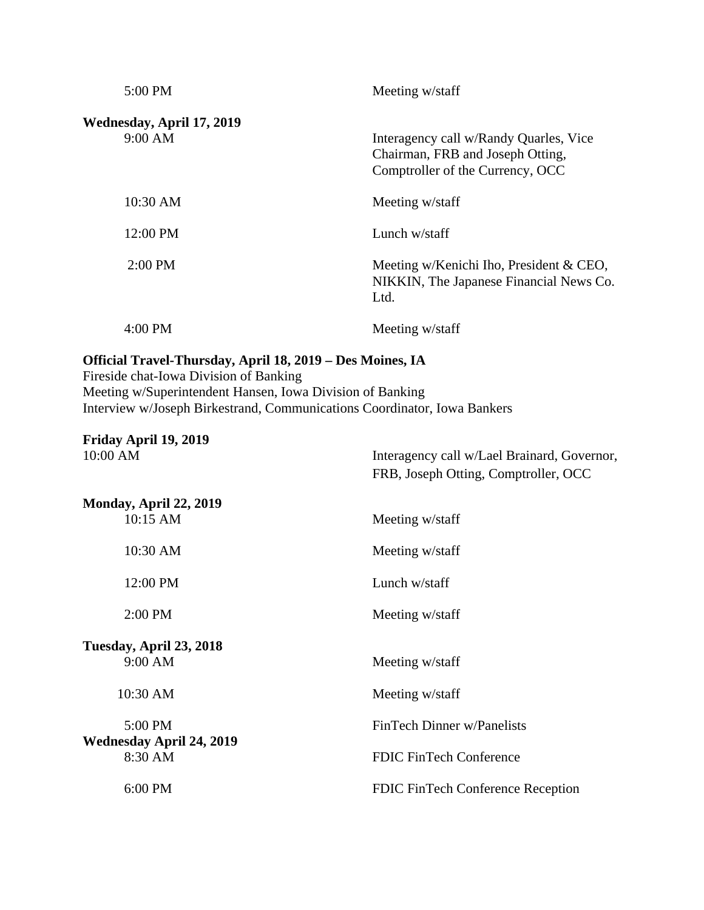| 5:00 PM                              | Meeting w/staff                                                                                                |
|--------------------------------------|----------------------------------------------------------------------------------------------------------------|
| Wednesday, April 17, 2019<br>9:00 AM | Interagency call w/Randy Quarles, Vice<br>Chairman, FRB and Joseph Otting,<br>Comptroller of the Currency, OCC |
| 10:30 AM                             | Meeting w/staff                                                                                                |
| 12:00 PM                             | Lunch w/staff                                                                                                  |
| $2:00 \text{ PM}$                    | Meeting w/Kenichi Iho, President & CEO,<br>NIKKIN, The Japanese Financial News Co.<br>Ltd.                     |
| 4:00 PM                              | Meeting w/staff                                                                                                |

## **Official Travel-Thursday, April 18, 2019 – Des Moines, IA**

Fireside chat-Iowa Division of Banking Meeting w/Superintendent Hansen, Iowa Division of Banking Interview w/Joseph Birkestrand, Communications Coordinator, Iowa Bankers

**Friday April 19, 2019** Interagency call w/Lael Brainard, Governor, FRB, Joseph Otting, Comptroller, OCC **Monday, April 22, 2019** 10:15 AM Meeting w/staff 10:30 AM Meeting w/staff 12:00 PM Lunch w/staff 2:00 PM Meeting w/staff **Tuesday, April 23, 2018** 9:00 AM Meeting w/staff 10:30 AM Meeting w/staff 5:00 PM FinTech Dinner w/Panelists **Wednesday April 24, 2019** 8:30 AM FDIC FinTech Conference 6:00 PM FDIC FinTech Conference Reception